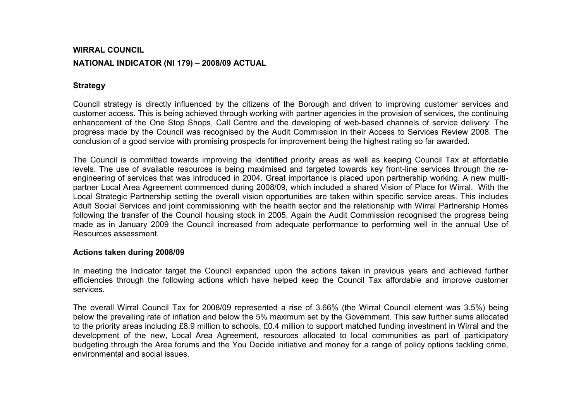## WIRRAL COUNCIL NATIONAL INDICATOR (NI 179) – 2008/09 ACTUAL

## **Strategy**

Council strategy is directly influenced by the citizens of the Borough and driven to improving customer services and customer access. This is being achieved through working with partner agencies in the provision of services, the continuing enhancement of the One Stop Shops, Call Centre and the developing of web-based channels of service delivery. The progress made by the Council was recognised by the Audit Commission in their Access to Services Review 2008. The conclusion of a good service with promising prospects for improvement being the highest rating so far awarded.

The Council is committed towards improving the identified priority areas as well as keeping Council Tax at affordable levels. The use of available resources is being maximised and targeted towards key front-line services through the reengineering of services that was introduced in 2004. Great importance is placed upon partnership working. A new multipartner Local Area Agreement commenced during 2008/09, which included a shared Vision of Place for Wirral. With the Local Strategic Partnership setting the overall vision opportunities are taken within specific service areas. This includes Adult Social Services and joint commissioning with the health sector and the relationship with Wirral Partnership Homes following the transfer of the Council housing stock in 2005. Again the Audit Commission recognised the progress being made as in January 2009 the Council increased from adequate performance to performing well in the annual Use of Resources assessment.

## Actions taken during 2008/09

In meeting the Indicator target the Council expanded upon the actions taken in previous years and achieved further efficiencies through the following actions which have helped keep the Council Tax affordable and improve customer services.

The overall Wirral Council Tax for 2008/09 represented a rise of 3.66% (the Wirral Council element was 3.5%) being below the prevailing rate of inflation and below the 5% maximum set by the Government. This saw further sums allocated to the priority areas including £8.9 million to schools, £0.4 million to support matched funding investment in Wirral and the development of the new, Local Area Agreement, resources allocated to local communities as part of participatory budgeting through the Area forums and the You Decide initiative and money for a range of policy options tackling crime, environmental and social issues.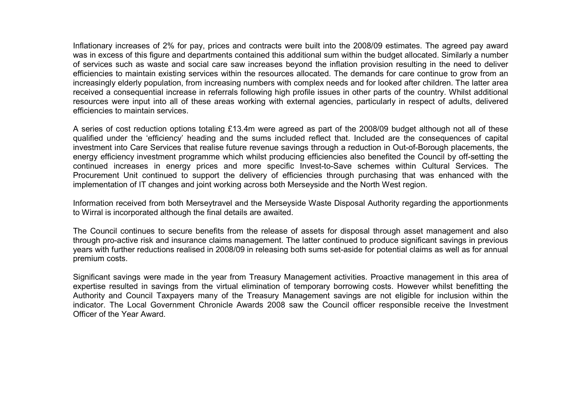Inflationary increases of 2% for pay, prices and contracts were built into the 2008/09 estimates. The agreed pay award was in excess of this figure and departments contained this additional sum within the budget allocated. Similarly a number of services such as waste and social care saw increases beyond the inflation provision resulting in the need to deliver efficiencies to maintain existing services within the resources allocated. The demands for care continue to grow from an increasingly elderly population, from increasing numbers with complex needs and for looked after children. The latter area received a consequential increase in referrals following high profile issues in other parts of the country. Whilst additional resources were input into all of these areas working with external agencies, particularly in respect of adults, delivered efficiencies to maintain services.

A series of cost reduction options totaling £13.4m were agreed as part of the 2008/09 budget although not all of these qualified under the 'efficiency' heading and the sums included reflect that. Included are the consequences of capital investment into Care Services that realise future revenue savings through a reduction in Out-of-Borough placements, the energy efficiency investment programme which whilst producing efficiencies also benefited the Council by off-setting the continued increases in energy prices and more specific Invest-to-Save schemes within Cultural Services. The Procurement Unit continued to support the delivery of efficiencies through purchasing that was enhanced with the implementation of IT changes and joint working across both Merseyside and the North West region.

Information received from both Merseytravel and the Merseyside Waste Disposal Authority regarding the apportionments to Wirral is incorporated although the final details are awaited.

The Council continues to secure benefits from the release of assets for disposal through asset management and also through pro-active risk and insurance claims management. The latter continued to produce significant savings in previous years with further reductions realised in 2008/09 in releasing both sums set-aside for potential claims as well as for annual premium costs.

Significant savings were made in the year from Treasury Management activities. Proactive management in this area of expertise resulted in savings from the virtual elimination of temporary borrowing costs. However whilst benefitting the Authority and Council Taxpayers many of the Treasury Management savings are not eligible for inclusion within the indicator. The Local Government Chronicle Awards 2008 saw the Council officer responsible receive the Investment Officer of the Year Award.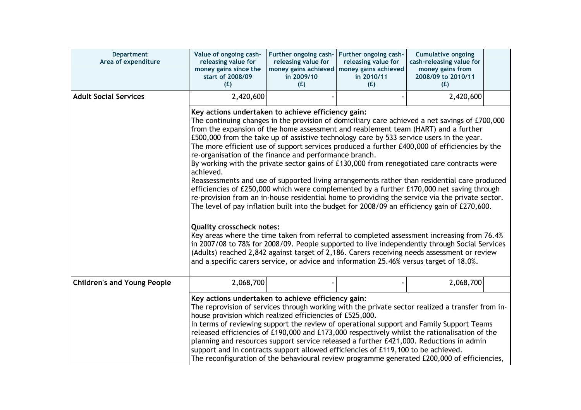| <b>Department</b><br>Area of expenditure | Value of ongoing cash-<br>releasing value for<br>money gains since the<br>start of 2008/09<br>(E)                                                                                                                                                                                                                                                                                                                                                                                                                                                                                                                                                                                                                                                                                                                                                                                                                                                                                                                                                                                                                                                                                                                                                                                                                                                                                                                                         | Further ongoing cash-<br>releasing value for<br>money gains achieved<br>in 2009/10<br>(E) | Further ongoing cash-<br>releasing value for<br>money gains achieved<br>in 2010/11<br>(E)                                                                                                                                                                                                                                                                                                                                                                                                                                                                                                                                                                                                      | <b>Cumulative ongoing</b><br>cash-releasing value for<br>money gains from<br>2008/09 to 2010/11<br>(E) |  |  |
|------------------------------------------|-------------------------------------------------------------------------------------------------------------------------------------------------------------------------------------------------------------------------------------------------------------------------------------------------------------------------------------------------------------------------------------------------------------------------------------------------------------------------------------------------------------------------------------------------------------------------------------------------------------------------------------------------------------------------------------------------------------------------------------------------------------------------------------------------------------------------------------------------------------------------------------------------------------------------------------------------------------------------------------------------------------------------------------------------------------------------------------------------------------------------------------------------------------------------------------------------------------------------------------------------------------------------------------------------------------------------------------------------------------------------------------------------------------------------------------------|-------------------------------------------------------------------------------------------|------------------------------------------------------------------------------------------------------------------------------------------------------------------------------------------------------------------------------------------------------------------------------------------------------------------------------------------------------------------------------------------------------------------------------------------------------------------------------------------------------------------------------------------------------------------------------------------------------------------------------------------------------------------------------------------------|--------------------------------------------------------------------------------------------------------|--|--|
| <b>Adult Social Services</b>             | 2,420,600                                                                                                                                                                                                                                                                                                                                                                                                                                                                                                                                                                                                                                                                                                                                                                                                                                                                                                                                                                                                                                                                                                                                                                                                                                                                                                                                                                                                                                 |                                                                                           |                                                                                                                                                                                                                                                                                                                                                                                                                                                                                                                                                                                                                                                                                                | 2,420,600                                                                                              |  |  |
|                                          | Key actions undertaken to achieve efficiency gain:<br>The continuing changes in the provision of domiciliary care achieved a net savings of £700,000<br>from the expansion of the home assessment and reablement team (HART) and a further<br>£500,000 from the take up of assistive technology care by 533 service users in the year.<br>The more efficient use of support services produced a further £400,000 of efficiencies by the<br>re-organisation of the finance and performance branch.<br>By working with the private sector gains of £130,000 from renegotiated care contracts were<br>achieved.<br>Reassessments and use of supported living arrangements rather than residential care produced<br>efficiencies of £250,000 which were complemented by a further £170,000 net saving through<br>re-provision from an in-house residential home to providing the service via the private sector.<br>The level of pay inflation built into the budget for 2008/09 an efficiency gain of £270,600.<br><b>Quality crosscheck notes:</b><br>Key areas where the time taken from referral to completed assessment increasing from 76.4%<br>in 2007/08 to 78% for 2008/09. People supported to live independently through Social Services<br>(Adults) reached 2,842 against target of 2,186. Carers receiving needs assessment or review<br>and a specific carers service, or advice and information 25.46% versus target of 18.0%. |                                                                                           |                                                                                                                                                                                                                                                                                                                                                                                                                                                                                                                                                                                                                                                                                                |                                                                                                        |  |  |
| <b>Children's and Young People</b>       | 2,068,700                                                                                                                                                                                                                                                                                                                                                                                                                                                                                                                                                                                                                                                                                                                                                                                                                                                                                                                                                                                                                                                                                                                                                                                                                                                                                                                                                                                                                                 |                                                                                           |                                                                                                                                                                                                                                                                                                                                                                                                                                                                                                                                                                                                                                                                                                | 2,068,700                                                                                              |  |  |
|                                          |                                                                                                                                                                                                                                                                                                                                                                                                                                                                                                                                                                                                                                                                                                                                                                                                                                                                                                                                                                                                                                                                                                                                                                                                                                                                                                                                                                                                                                           |                                                                                           | Key actions undertaken to achieve efficiency gain:<br>The reprovision of services through working with the private sector realized a transfer from in-<br>house provision which realized efficiencies of £525,000.<br>In terms of reviewing support the review of operational support and Family Support Teams<br>released efficiencies of £190,000 and £173,000 respectively whilst the rationalisation of the<br>planning and resources support service released a further £421,000. Reductions in admin<br>support and in contracts support allowed efficiencies of £119,100 to be achieved.<br>The reconfiguration of the behavioural review programme generated £200,000 of efficiencies, |                                                                                                        |  |  |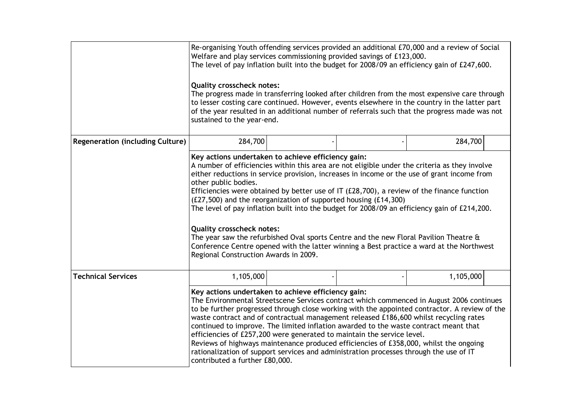|                                         | Re-organising Youth offending services provided an additional £70,000 and a review of Social<br>Welfare and play services commissioning provided savings of £123,000.<br>The level of pay inflation built into the budget for 2008/09 an efficiency gain of £247,600.<br><b>Quality crosscheck notes:</b><br>The progress made in transferring looked after children from the most expensive care through<br>to lesser costing care continued. However, events elsewhere in the country in the latter part<br>of the year resulted in an additional number of referrals such that the progress made was not<br>sustained to the year-end.                                                                                                                                                                                |  |  |           |  |  |
|-----------------------------------------|--------------------------------------------------------------------------------------------------------------------------------------------------------------------------------------------------------------------------------------------------------------------------------------------------------------------------------------------------------------------------------------------------------------------------------------------------------------------------------------------------------------------------------------------------------------------------------------------------------------------------------------------------------------------------------------------------------------------------------------------------------------------------------------------------------------------------|--|--|-----------|--|--|
|                                         |                                                                                                                                                                                                                                                                                                                                                                                                                                                                                                                                                                                                                                                                                                                                                                                                                          |  |  |           |  |  |
| <b>Regeneration (including Culture)</b> | 284,700                                                                                                                                                                                                                                                                                                                                                                                                                                                                                                                                                                                                                                                                                                                                                                                                                  |  |  | 284,700   |  |  |
|                                         | Key actions undertaken to achieve efficiency gain:<br>A number of efficiencies within this area are not eligible under the criteria as they involve<br>either reductions in service provision, increases in income or the use of grant income from<br>other public bodies.<br>Efficiencies were obtained by better use of IT $(E28,700)$ , a review of the finance function<br>(£27,500) and the reorganization of supported housing (£14,300)<br>The level of pay inflation built into the budget for 2008/09 an efficiency gain of £214,200.<br><b>Quality crosscheck notes:</b><br>The year saw the refurbished Oval sports Centre and the new Floral Pavilion Theatre $\hat{a}$<br>Conference Centre opened with the latter winning a Best practice a ward at the Northwest<br>Regional Construction Awards in 2009. |  |  |           |  |  |
| <b>Technical Services</b>               | 1,105,000                                                                                                                                                                                                                                                                                                                                                                                                                                                                                                                                                                                                                                                                                                                                                                                                                |  |  | 1,105,000 |  |  |
|                                         | Key actions undertaken to achieve efficiency gain:<br>The Environmental Streetscene Services contract which commenced in August 2006 continues<br>to be further progressed through close working with the appointed contractor. A review of the<br>waste contract and of contractual management released £186,600 whilst recycling rates<br>continued to improve. The limited inflation awarded to the waste contract meant that<br>efficiencies of £257,200 were generated to maintain the service level.<br>Reviews of highways maintenance produced efficiencies of £358,000, whilst the ongoing<br>rationalization of support services and administration processes through the use of IT<br>contributed a further £80,000.                                                                                          |  |  |           |  |  |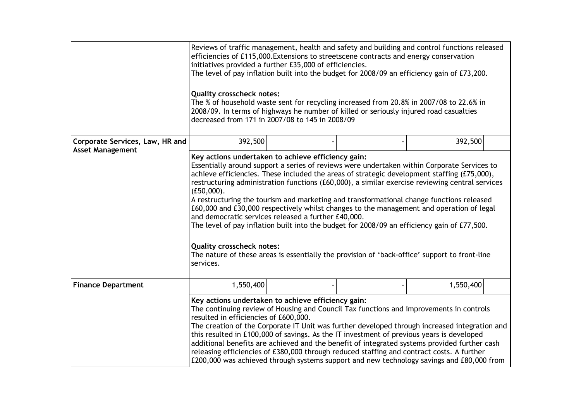|                                                            | Reviews of traffic management, health and safety and building and control functions released<br>efficiencies of £115,000. Extensions to streetscene contracts and energy conservation<br>initiatives provided a further £35,000 of efficiencies.<br>The level of pay inflation built into the budget for 2008/09 an efficiency gain of £73,200.<br><b>Quality crosscheck notes:</b><br>The % of household waste sent for recycling increased from 20.8% in 2007/08 to 22.6% in<br>2008/09. In terms of highways he number of killed or seriously injured road casualties<br>decreased from 171 in 2007/08 to 145 in 2008/09                                                                                                                                                                                                                                       |  |  |           |  |
|------------------------------------------------------------|-------------------------------------------------------------------------------------------------------------------------------------------------------------------------------------------------------------------------------------------------------------------------------------------------------------------------------------------------------------------------------------------------------------------------------------------------------------------------------------------------------------------------------------------------------------------------------------------------------------------------------------------------------------------------------------------------------------------------------------------------------------------------------------------------------------------------------------------------------------------|--|--|-----------|--|
| Corporate Services, Law, HR and<br><b>Asset Management</b> | 392,500                                                                                                                                                                                                                                                                                                                                                                                                                                                                                                                                                                                                                                                                                                                                                                                                                                                           |  |  | 392,500   |  |
|                                                            | Key actions undertaken to achieve efficiency gain:<br>Essentially around support a series of reviews were undertaken within Corporate Services to<br>achieve efficiencies. These included the areas of strategic development staffing (£75,000),<br>restructuring administration functions (£60,000), a similar exercise reviewing central services<br>(E50,000).<br>A restructuring the tourism and marketing and transformational change functions released<br>£60,000 and £30,000 respectively whilst changes to the management and operation of legal<br>and democratic services released a further £40,000.<br>The level of pay inflation built into the budget for 2008/09 an efficiency gain of £77,500.<br><b>Quality crosscheck notes:</b><br>The nature of these areas is essentially the provision of 'back-office' support to front-line<br>services. |  |  |           |  |
| <b>Finance Department</b>                                  | 1,550,400                                                                                                                                                                                                                                                                                                                                                                                                                                                                                                                                                                                                                                                                                                                                                                                                                                                         |  |  | 1,550,400 |  |
|                                                            | Key actions undertaken to achieve efficiency gain:<br>The continuing review of Housing and Council Tax functions and improvements in controls<br>resulted in efficiencies of £600,000.<br>The creation of the Corporate IT Unit was further developed through increased integration and<br>this resulted in £100,000 of savings. As the IT investment of previous years is developed<br>additional benefits are achieved and the benefit of integrated systems provided further cash<br>releasing efficiencies of £380,000 through reduced staffing and contract costs. A further<br>£200,000 was achieved through systems support and new technology savings and £80,000 from                                                                                                                                                                                    |  |  |           |  |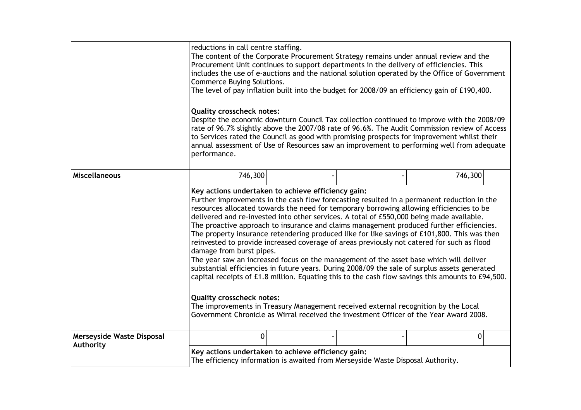|                                        | reductions in call centre staffing.<br>The content of the Corporate Procurement Strategy remains under annual review and the<br>Procurement Unit continues to support departments in the delivery of efficiencies. This<br>includes the use of e-auctions and the national solution operated by the Office of Government<br><b>Commerce Buying Solutions.</b><br>The level of pay inflation built into the budget for 2008/09 an efficiency gain of £190,400.<br><b>Quality crosscheck notes:</b><br>Despite the economic downturn Council Tax collection continued to improve with the 2008/09<br>rate of 96.7% slightly above the 2007/08 rate of 96.6%. The Audit Commission review of Access<br>to Services rated the Council as good with promising prospects for improvement whilst their<br>annual assessment of Use of Resources saw an improvement to performing well from adequate<br>performance.                                                                                                                                                                                                                                                                       |  |  |         |  |  |
|----------------------------------------|------------------------------------------------------------------------------------------------------------------------------------------------------------------------------------------------------------------------------------------------------------------------------------------------------------------------------------------------------------------------------------------------------------------------------------------------------------------------------------------------------------------------------------------------------------------------------------------------------------------------------------------------------------------------------------------------------------------------------------------------------------------------------------------------------------------------------------------------------------------------------------------------------------------------------------------------------------------------------------------------------------------------------------------------------------------------------------------------------------------------------------------------------------------------------------|--|--|---------|--|--|
| <b>Miscellaneous</b>                   | 746,300                                                                                                                                                                                                                                                                                                                                                                                                                                                                                                                                                                                                                                                                                                                                                                                                                                                                                                                                                                                                                                                                                                                                                                            |  |  | 746,300 |  |  |
|                                        | Key actions undertaken to achieve efficiency gain:<br>Further improvements in the cash flow forecasting resulted in a permanent reduction in the<br>resources allocated towards the need for temporary borrowing allowing efficiencies to be<br>delivered and re-invested into other services. A total of £550,000 being made available.<br>The proactive approach to insurance and claims management produced further efficiencies.<br>The property insurance retendering produced like for like savings of £101,800. This was then<br>reinvested to provide increased coverage of areas previously not catered for such as flood<br>damage from burst pipes.<br>The year saw an increased focus on the management of the asset base which will deliver<br>substantial efficiencies in future years. During 2008/09 the sale of surplus assets generated<br>capital receipts of £1.8 million. Equating this to the cash flow savings this amounts to £94,500.<br><b>Quality crosscheck notes:</b><br>The improvements in Treasury Management received external recognition by the Local<br>Government Chronicle as Wirral received the investment Officer of the Year Award 2008. |  |  |         |  |  |
| Merseyside Waste Disposal<br>Authority | 0                                                                                                                                                                                                                                                                                                                                                                                                                                                                                                                                                                                                                                                                                                                                                                                                                                                                                                                                                                                                                                                                                                                                                                                  |  |  | 0       |  |  |
|                                        | Key actions undertaken to achieve efficiency gain:<br>The efficiency information is awaited from Merseyside Waste Disposal Authority.                                                                                                                                                                                                                                                                                                                                                                                                                                                                                                                                                                                                                                                                                                                                                                                                                                                                                                                                                                                                                                              |  |  |         |  |  |